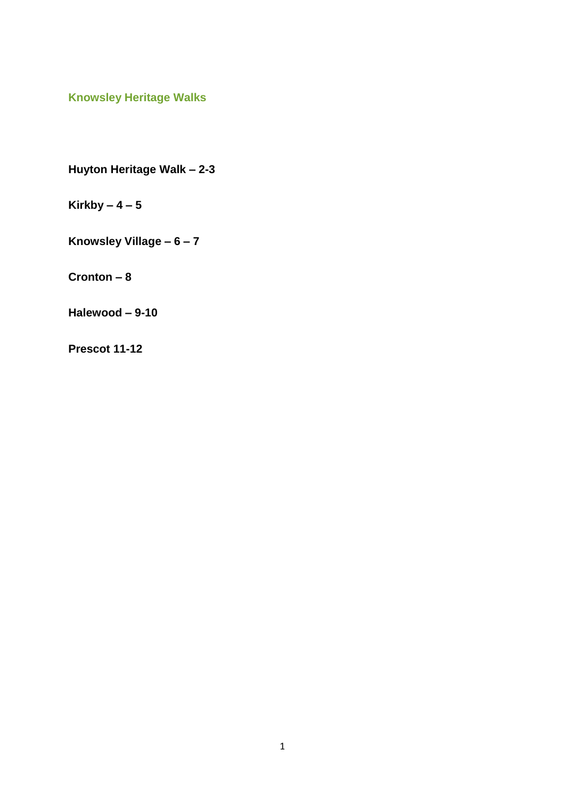**Knowsley Heritage Walks**

**Huyton Heritage Walk – 2-3**

**Kirkby – 4 – 5**

**Knowsley Village – 6 – 7**

**Cronton – 8**

**Halewood – 9-10**

**Prescot 11-12**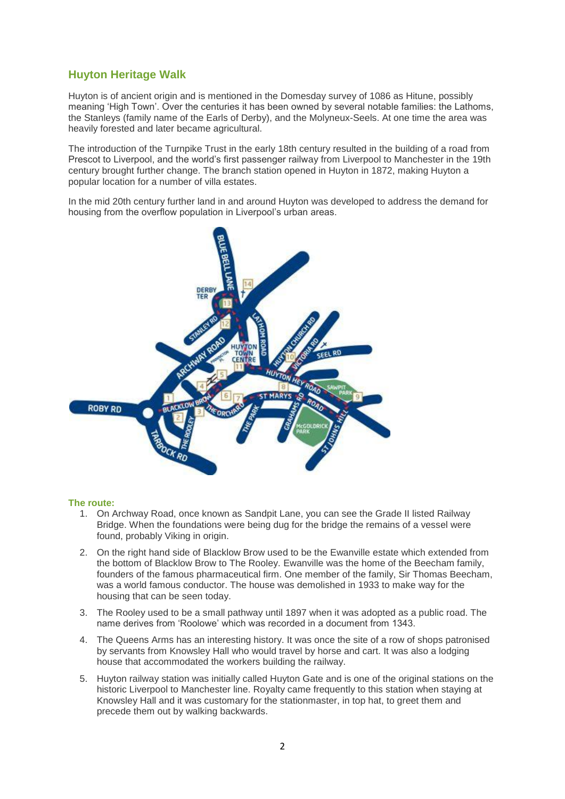# **Huyton Heritage Walk**

Huyton is of ancient origin and is mentioned in the Domesday survey of 1086 as Hitune, possibly meaning "High Town". Over the centuries it has been owned by several notable families: the Lathoms, the Stanleys (family name of the Earls of Derby), and the Molyneux-Seels. At one time the area was heavily forested and later became agricultural.

The introduction of the Turnpike Trust in the early 18th century resulted in the building of a road from Prescot to Liverpool, and the world"s first passenger railway from Liverpool to Manchester in the 19th century brought further change. The branch station opened in Huyton in 1872, making Huyton a popular location for a number of villa estates.

In the mid 20th century further land in and around Huyton was developed to address the demand for housing from the overflow population in Liverpool's urban areas.



- 1. On Archway Road, once known as Sandpit Lane, you can see the Grade II listed Railway Bridge. When the foundations were being dug for the bridge the remains of a vessel were found, probably Viking in origin.
- 2. On the right hand side of Blacklow Brow used to be the Ewanville estate which extended from the bottom of Blacklow Brow to The Rooley. Ewanville was the home of the Beecham family, founders of the famous pharmaceutical firm. One member of the family, Sir Thomas Beecham, was a world famous conductor. The house was demolished in 1933 to make way for the housing that can be seen today.
- 3. The Rooley used to be a small pathway until 1897 when it was adopted as a public road. The name derives from "Roolowe" which was recorded in a document from 1343.
- 4. The Queens Arms has an interesting history. It was once the site of a row of shops patronised by servants from Knowsley Hall who would travel by horse and cart. It was also a lodging house that accommodated the workers building the railway.
- 5. Huyton railway station was initially called Huyton Gate and is one of the original stations on the historic Liverpool to Manchester line. Royalty came frequently to this station when staying at Knowsley Hall and it was customary for the stationmaster, in top hat, to greet them and precede them out by walking backwards.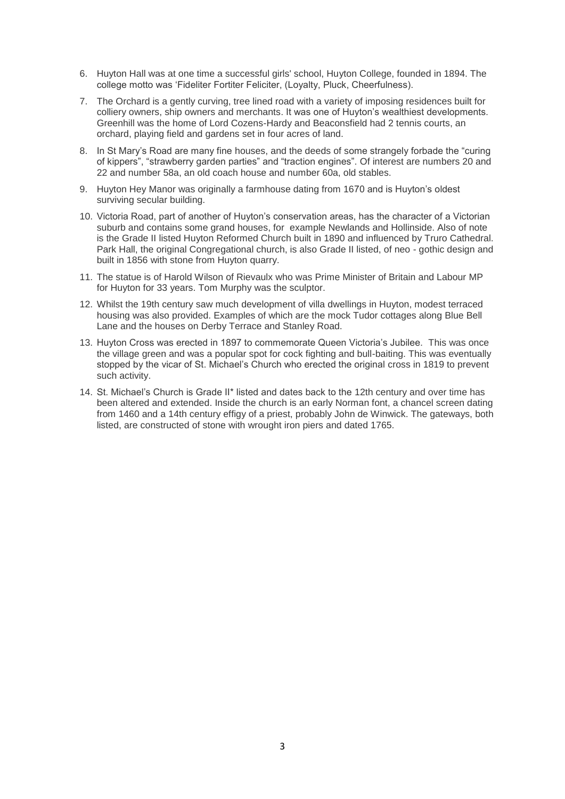- 6. Huyton Hall was at one time a successful girls' school, Huyton College, founded in 1894. The college motto was "Fideliter Fortiter Feliciter, (Loyalty, Pluck, Cheerfulness).
- 7. The Orchard is a gently curving, tree lined road with a variety of imposing residences built for colliery owners, ship owners and merchants. It was one of Huyton"s wealthiest developments. Greenhill was the home of Lord Cozens-Hardy and Beaconsfield had 2 tennis courts, an orchard, playing field and gardens set in four acres of land.
- 8. In St Mary"s Road are many fine houses, and the deeds of some strangely forbade the "curing of kippers", "strawberry garden parties" and "traction engines". Of interest are numbers 20 and 22 and number 58a, an old coach house and number 60a, old stables.
- 9. Huyton Hey Manor was originally a farmhouse dating from 1670 and is Huyton"s oldest surviving secular building.
- 10. Victoria Road, part of another of Huyton"s conservation areas, has the character of a Victorian suburb and contains some grand houses, for example Newlands and Hollinside. Also of note is the Grade II listed Huyton Reformed Church built in 1890 and influenced by Truro Cathedral. Park Hall, the original Congregational church, is also Grade II listed, of neo - gothic design and built in 1856 with stone from Huyton quarry.
- 11. The statue is of Harold Wilson of Rievaulx who was Prime Minister of Britain and Labour MP for Huyton for 33 years. Tom Murphy was the sculptor.
- 12. Whilst the 19th century saw much development of villa dwellings in Huyton, modest terraced housing was also provided. Examples of which are the mock Tudor cottages along Blue Bell Lane and the houses on Derby Terrace and Stanley Road.
- 13. Huyton Cross was erected in 1897 to commemorate Queen Victoria"s Jubilee. This was once the village green and was a popular spot for cock fighting and bull-baiting. This was eventually stopped by the vicar of St. Michael"s Church who erected the original cross in 1819 to prevent such activity.
- 14. St. Michael"s Church is Grade II\* listed and dates back to the 12th century and over time has been altered and extended. Inside the church is an early Norman font, a chancel screen dating from 1460 and a 14th century effigy of a priest, probably John de Winwick. The gateways, both listed, are constructed of stone with wrought iron piers and dated 1765.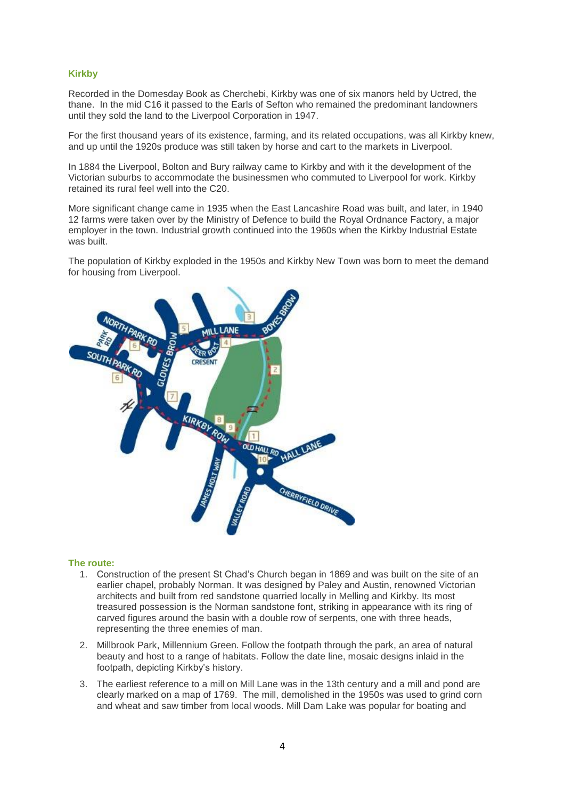## **Kirkby**

Recorded in the Domesday Book as Cherchebi, Kirkby was one of six manors held by Uctred, the thane. In the mid C16 it passed to the Earls of Sefton who remained the predominant landowners until they sold the land to the Liverpool Corporation in 1947.

For the first thousand years of its existence, farming, and its related occupations, was all Kirkby knew, and up until the 1920s produce was still taken by horse and cart to the markets in Liverpool.

In 1884 the Liverpool, Bolton and Bury railway came to Kirkby and with it the development of the Victorian suburbs to accommodate the businessmen who commuted to Liverpool for work. Kirkby retained its rural feel well into the C20.

More significant change came in 1935 when the East Lancashire Road was built, and later, in 1940 12 farms were taken over by the Ministry of Defence to build the Royal Ordnance Factory, a major employer in the town. Industrial growth continued into the 1960s when the Kirkby Industrial Estate was built.

The population of Kirkby exploded in the 1950s and Kirkby New Town was born to meet the demand for housing from Liverpool.



- 1. Construction of the present St Chad"s Church began in 1869 and was built on the site of an earlier chapel, probably Norman. It was designed by Paley and Austin, renowned Victorian architects and built from red sandstone quarried locally in Melling and Kirkby. Its most treasured possession is the Norman sandstone font, striking in appearance with its ring of carved figures around the basin with a double row of serpents, one with three heads, representing the three enemies of man.
- 2. Millbrook Park, Millennium Green. Follow the footpath through the park, an area of natural beauty and host to a range of habitats. Follow the date line, mosaic designs inlaid in the footpath, depicting Kirkby's history.
- 3. The earliest reference to a mill on Mill Lane was in the 13th century and a mill and pond are clearly marked on a map of 1769. The mill, demolished in the 1950s was used to grind corn and wheat and saw timber from local woods. Mill Dam Lake was popular for boating and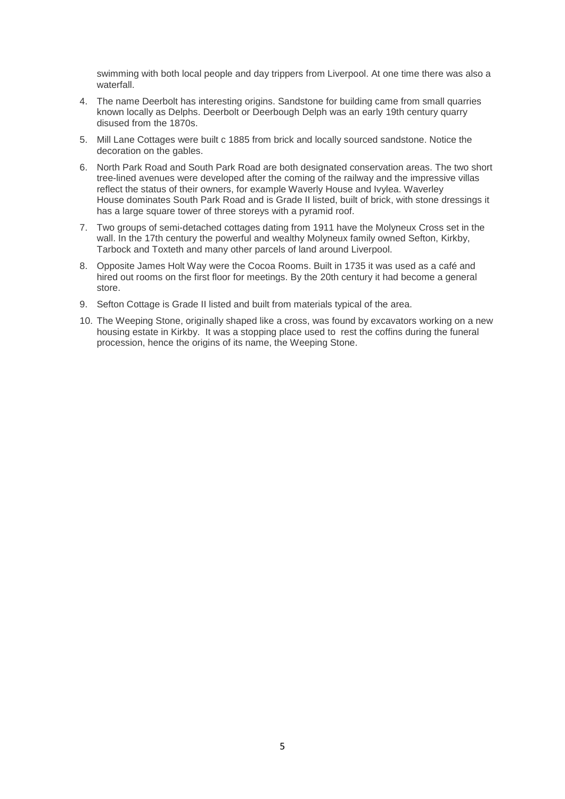swimming with both local people and day trippers from Liverpool. At one time there was also a waterfall.

- 4. The name Deerbolt has interesting origins. Sandstone for building came from small quarries known locally as Delphs. Deerbolt or Deerbough Delph was an early 19th century quarry disused from the 1870s.
- 5. Mill Lane Cottages were built c 1885 from brick and locally sourced sandstone. Notice the decoration on the gables.
- 6. North Park Road and South Park Road are both designated conservation areas. The two short tree-lined avenues were developed after the coming of the railway and the impressive villas reflect the status of their owners, for example Waverly House and Ivylea. Waverley House dominates South Park Road and is Grade II listed, built of brick, with stone dressings it has a large square tower of three storeys with a pyramid roof.
- 7. Two groups of semi-detached cottages dating from 1911 have the Molyneux Cross set in the wall. In the 17th century the powerful and wealthy Molyneux family owned Sefton, Kirkby, Tarbock and Toxteth and many other parcels of land around Liverpool.
- 8. Opposite James Holt Way were the Cocoa Rooms. Built in 1735 it was used as a café and hired out rooms on the first floor for meetings. By the 20th century it had become a general store.
- 9. Sefton Cottage is Grade II listed and built from materials typical of the area.
- 10. The Weeping Stone, originally shaped like a cross, was found by excavators working on a new housing estate in Kirkby. It was a stopping place used to rest the coffins during the funeral procession, hence the origins of its name, the Weeping Stone.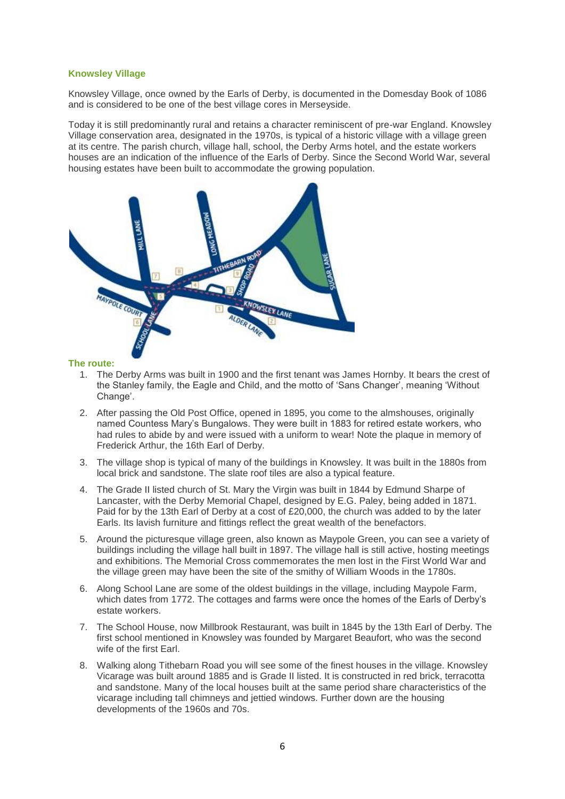#### **Knowsley Village**

Knowsley Village, once owned by the Earls of Derby, is documented in the Domesday Book of 1086 and is considered to be one of the best village cores in Merseyside.

Today it is still predominantly rural and retains a character reminiscent of pre-war England. Knowsley Village conservation area, designated in the 1970s, is typical of a historic village with a village green at its centre. The parish church, village hall, school, the Derby Arms hotel, and the estate workers houses are an indication of the influence of the Earls of Derby. Since the Second World War, several housing estates have been built to accommodate the growing population.



- 1. The Derby Arms was built in 1900 and the first tenant was James Hornby. It bears the crest of the Stanley family, the Eagle and Child, and the motto of "Sans Changer", meaning "Without Change'.
- 2. After passing the Old Post Office, opened in 1895, you come to the almshouses, originally named Countess Mary"s Bungalows. They were built in 1883 for retired estate workers, who had rules to abide by and were issued with a uniform to wear! Note the plaque in memory of Frederick Arthur, the 16th Earl of Derby.
- 3. The village shop is typical of many of the buildings in Knowsley. It was built in the 1880s from local brick and sandstone. The slate roof tiles are also a typical feature.
- 4. The Grade II listed church of St. Mary the Virgin was built in 1844 by Edmund Sharpe of Lancaster, with the Derby Memorial Chapel, designed by E.G. Paley, being added in 1871. Paid for by the 13th Earl of Derby at a cost of £20,000, the church was added to by the later Earls. Its lavish furniture and fittings reflect the great wealth of the benefactors.
- 5. Around the picturesque village green, also known as Maypole Green, you can see a variety of buildings including the village hall built in 1897. The village hall is still active, hosting meetings and exhibitions. The Memorial Cross commemorates the men lost in the First World War and the village green may have been the site of the smithy of William Woods in the 1780s.
- 6. Along School Lane are some of the oldest buildings in the village, including Maypole Farm, which dates from 1772. The cottages and farms were once the homes of the Earls of Derby"s estate workers.
- 7. The School House, now Millbrook Restaurant, was built in 1845 by the 13th Earl of Derby. The first school mentioned in Knowsley was founded by Margaret Beaufort, who was the second wife of the first Earl.
- 8. Walking along Tithebarn Road you will see some of the finest houses in the village. Knowsley Vicarage was built around 1885 and is Grade II listed. It is constructed in red brick, terracotta and sandstone. Many of the local houses built at the same period share characteristics of the vicarage including tall chimneys and jettied windows. Further down are the housing developments of the 1960s and 70s.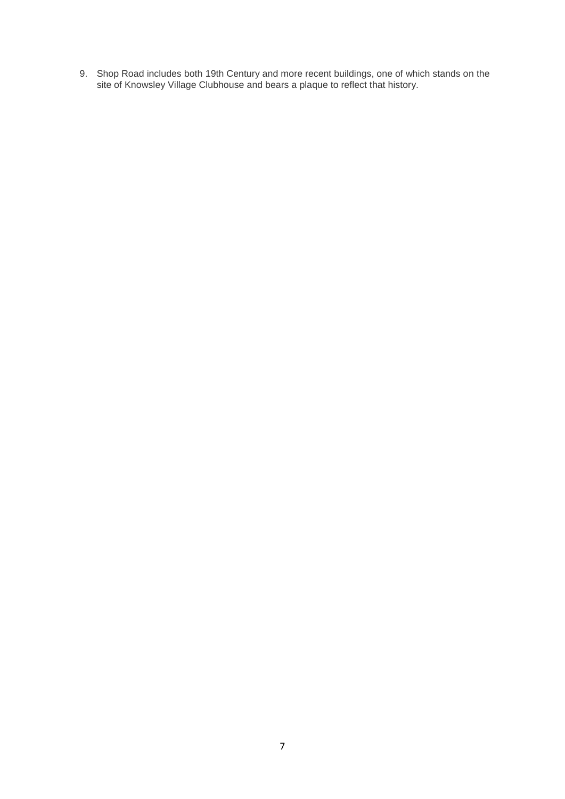9. Shop Road includes both 19th Century and more recent buildings, one of which stands on the site of Knowsley Village Clubhouse and bears a plaque to reflect that history.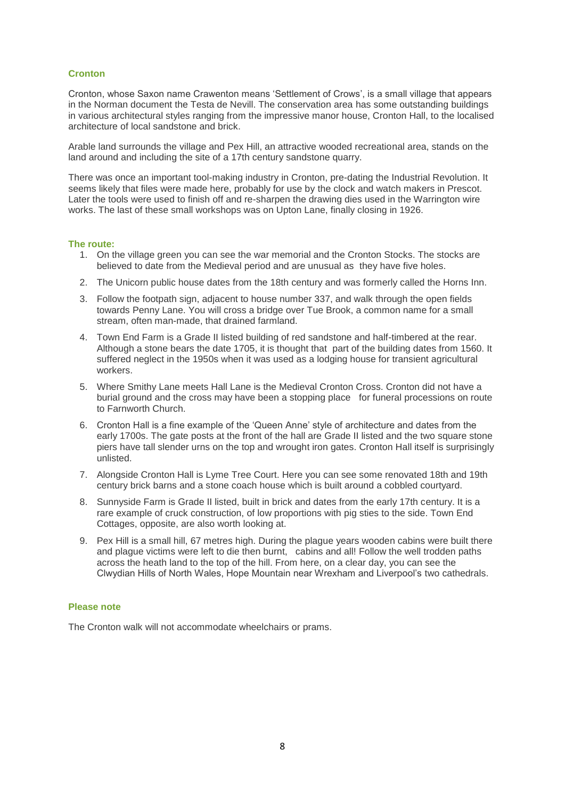# **Cronton**

Cronton, whose Saxon name Crawenton means "Settlement of Crows", is a small village that appears in the Norman document the Testa de Nevill. The conservation area has some outstanding buildings in various architectural styles ranging from the impressive manor house, Cronton Hall, to the localised architecture of local sandstone and brick.

Arable land surrounds the village and Pex Hill, an attractive wooded recreational area, stands on the land around and including the site of a 17th century sandstone quarry.

There was once an important tool-making industry in Cronton, pre-dating the Industrial Revolution. It seems likely that files were made here, probably for use by the clock and watch makers in Prescot. Later the tools were used to finish off and re-sharpen the drawing dies used in the Warrington wire works. The last of these small workshops was on Upton Lane, finally closing in 1926.

#### **The route:**

- 1. On the village green you can see the war memorial and the Cronton Stocks. The stocks are believed to date from the Medieval period and are unusual as they have five holes.
- 2. The Unicorn public house dates from the 18th century and was formerly called the Horns Inn.
- 3. Follow the footpath sign, adjacent to house number 337, and walk through the open fields towards Penny Lane. You will cross a bridge over Tue Brook, a common name for a small stream, often man-made, that drained farmland.
- 4. Town End Farm is a Grade II listed building of red sandstone and half-timbered at the rear. Although a stone bears the date 1705, it is thought that part of the building dates from 1560. It suffered neglect in the 1950s when it was used as a lodging house for transient agricultural workers.
- 5. Where Smithy Lane meets Hall Lane is the Medieval Cronton Cross. Cronton did not have a burial ground and the cross may have been a stopping place for funeral processions on route to Farnworth Church.
- 6. Cronton Hall is a fine example of the "Queen Anne" style of architecture and dates from the early 1700s. The gate posts at the front of the hall are Grade II listed and the two square stone piers have tall slender urns on the top and wrought iron gates. Cronton Hall itself is surprisingly unlisted.
- 7. Alongside Cronton Hall is Lyme Tree Court. Here you can see some renovated 18th and 19th century brick barns and a stone coach house which is built around a cobbled courtyard.
- 8. Sunnyside Farm is Grade II listed, built in brick and dates from the early 17th century. It is a rare example of cruck construction, of low proportions with pig sties to the side. Town End Cottages, opposite, are also worth looking at.
- 9. Pex Hill is a small hill, 67 metres high. During the plague years wooden cabins were built there and plague victims were left to die then burnt, cabins and all! Follow the well trodden paths across the heath land to the top of the hill. From here, on a clear day, you can see the Clwydian Hills of North Wales, Hope Mountain near Wrexham and Liverpool"s two cathedrals.

#### **Please note**

The Cronton walk will not accommodate wheelchairs or prams.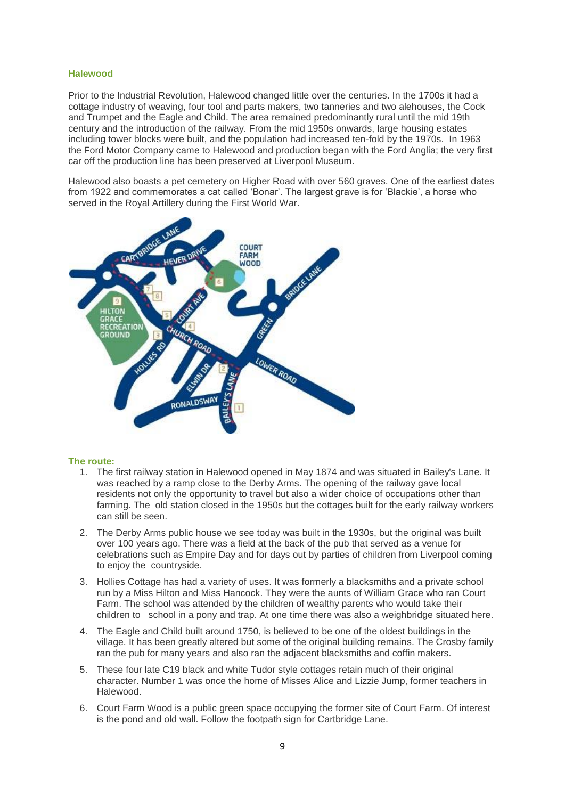#### **Halewood**

Prior to the Industrial Revolution, Halewood changed little over the centuries. In the 1700s it had a cottage industry of weaving, four tool and parts makers, two tanneries and two alehouses, the Cock and Trumpet and the Eagle and Child. The area remained predominantly rural until the mid 19th century and the introduction of the railway. From the mid 1950s onwards, large housing estates including tower blocks were built, and the population had increased ten-fold by the 1970s. In 1963 the Ford Motor Company came to Halewood and production began with the Ford Anglia; the very first car off the production line has been preserved at Liverpool Museum.

Halewood also boasts a pet cemetery on Higher Road with over 560 graves. One of the earliest dates from 1922 and commemorates a cat called "Bonar". The largest grave is for "Blackie", a horse who served in the Royal Artillery during the First World War.



- 1. The first railway station in Halewood opened in May 1874 and was situated in Bailey's Lane. It was reached by a ramp close to the Derby Arms. The opening of the railway gave local residents not only the opportunity to travel but also a wider choice of occupations other than farming. The old station closed in the 1950s but the cottages built for the early railway workers can still be seen.
- 2. The Derby Arms public house we see today was built in the 1930s, but the original was built over 100 years ago. There was a field at the back of the pub that served as a venue for celebrations such as Empire Day and for days out by parties of children from Liverpool coming to enjoy the countryside.
- 3. Hollies Cottage has had a variety of uses. It was formerly a blacksmiths and a private school run by a Miss Hilton and Miss Hancock. They were the aunts of William Grace who ran Court Farm. The school was attended by the children of wealthy parents who would take their children to school in a pony and trap. At one time there was also a weighbridge situated here.
- 4. The Eagle and Child built around 1750, is believed to be one of the oldest buildings in the village. It has been greatly altered but some of the original building remains. The Crosby family ran the pub for many years and also ran the adjacent blacksmiths and coffin makers.
- 5. These four late C19 black and white Tudor style cottages retain much of their original character. Number 1 was once the home of Misses Alice and Lizzie Jump, former teachers in Halewood.
- 6. Court Farm Wood is a public green space occupying the former site of Court Farm. Of interest is the pond and old wall. Follow the footpath sign for Cartbridge Lane.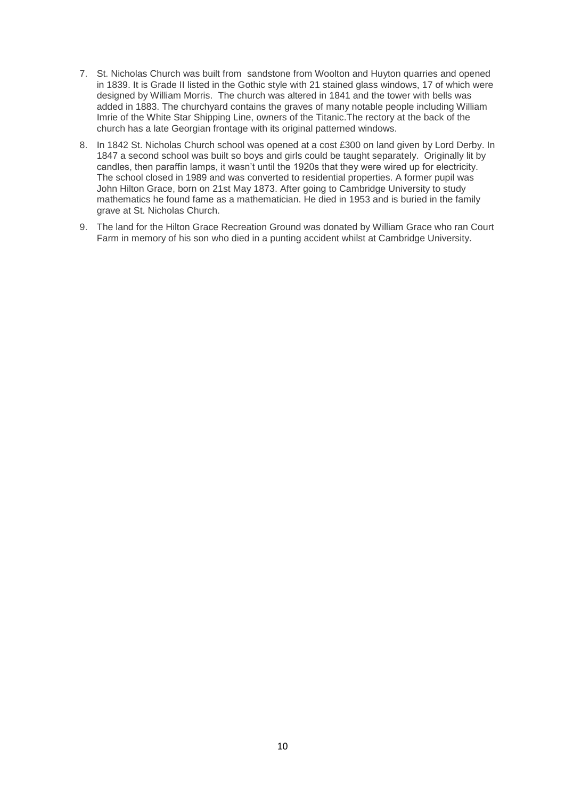- 7. St. Nicholas Church was built from sandstone from Woolton and Huyton quarries and opened in 1839. It is Grade II listed in the Gothic style with 21 stained glass windows, 17 of which were designed by William Morris. The church was altered in 1841 and the tower with bells was added in 1883. The churchyard contains the graves of many notable people including William Imrie of the White Star Shipping Line, owners of the Titanic.The rectory at the back of the church has a late Georgian frontage with its original patterned windows.
- 8. In 1842 St. Nicholas Church school was opened at a cost £300 on land given by Lord Derby. In 1847 a second school was built so boys and girls could be taught separately. Originally lit by candles, then paraffin lamps, it wasn"t until the 1920s that they were wired up for electricity. The school closed in 1989 and was converted to residential properties. A former pupil was John Hilton Grace, born on 21st May 1873. After going to Cambridge University to study mathematics he found fame as a mathematician. He died in 1953 and is buried in the family grave at St. Nicholas Church.
- 9. The land for the Hilton Grace Recreation Ground was donated by William Grace who ran Court Farm in memory of his son who died in a punting accident whilst at Cambridge University.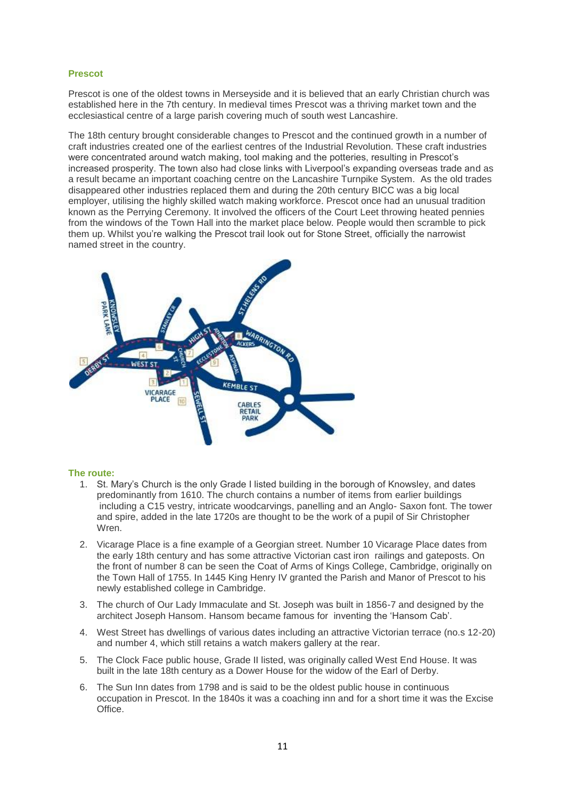# **Prescot**

Prescot is one of the oldest towns in Merseyside and it is believed that an early Christian church was established here in the 7th century. In medieval times Prescot was a thriving market town and the ecclesiastical centre of a large parish covering much of south west Lancashire.

The 18th century brought considerable changes to Prescot and the continued growth in a number of craft industries created one of the earliest centres of the Industrial Revolution. These craft industries were concentrated around watch making, tool making and the potteries, resulting in Prescot's increased prosperity. The town also had close links with Liverpool"s expanding overseas trade and as a result became an important coaching centre on the Lancashire Turnpike System. As the old trades disappeared other industries replaced them and during the 20th century BICC was a big local employer, utilising the highly skilled watch making workforce. Prescot once had an unusual tradition known as the Perrying Ceremony. It involved the officers of the Court Leet throwing heated pennies from the windows of the Town Hall into the market place below. People would then scramble to pick them up. Whilst you"re walking the Prescot trail look out for Stone Street, officially the narrowist named street in the country.



- 1. St. Mary"s Church is the only Grade I listed building in the borough of Knowsley, and dates predominantly from 1610. The church contains a number of items from earlier buildings including a C15 vestry, intricate woodcarvings, panelling and an Anglo- Saxon font. The tower and spire, added in the late 1720s are thought to be the work of a pupil of Sir Christopher Wren
- 2. Vicarage Place is a fine example of a Georgian street. Number 10 Vicarage Place dates from the early 18th century and has some attractive Victorian cast iron railings and gateposts. On the front of number 8 can be seen the Coat of Arms of Kings College, Cambridge, originally on the Town Hall of 1755. In 1445 King Henry IV granted the Parish and Manor of Prescot to his newly established college in Cambridge.
- 3. The church of Our Lady Immaculate and St. Joseph was built in 1856-7 and designed by the architect Joseph Hansom. Hansom became famous for inventing the "Hansom Cab".
- 4. West Street has dwellings of various dates including an attractive Victorian terrace (no.s 12-20) and number 4, which still retains a watch makers gallery at the rear.
- 5. The Clock Face public house, Grade II listed, was originally called West End House. It was built in the late 18th century as a Dower House for the widow of the Earl of Derby.
- 6. The Sun Inn dates from 1798 and is said to be the oldest public house in continuous occupation in Prescot. In the 1840s it was a coaching inn and for a short time it was the Excise Office.